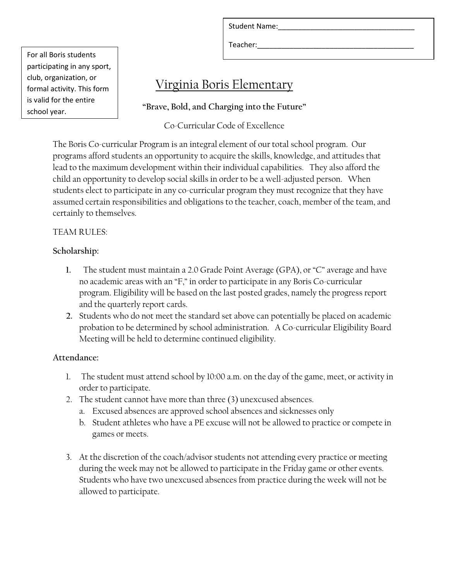Student Name:

Teacher:

For all Boris students participating in any sport, club, organization, or formal activity. This form is valid for the entire school year.

# Virginia Boris Elementary

**"Brave, Bold, and Charging into the Future"**

Co-Curricular Code of Excellence

The Boris Co-curricular Program is an integral element of our total school program. Our programs afford students an opportunity to acquire the skills, knowledge, and attitudes that lead to the maximum development within their individual capabilities. They also afford the child an opportunity to develop social skills in order to be a well-adjusted person. When students elect to participate in any co-curricular program they must recognize that they have assumed certain responsibilities and obligations to the teacher, coach, member of the team, and certainly to themselves.

## TEAM RULES:

## **Scholarship:**

- **1.** The student must maintain a 2.0 Grade Point Average (GPA), or "C" average and have no academic areas with an "F," in order to participate in any Boris Co-curricular program. Eligibility will be based on the last posted grades, namely the progress report and the quarterly report cards.
- **2.** Students who do not meet the standard set above can potentially be placed on academic probation to be determined by school administration. A Co-curricular Eligibility Board Meeting will be held to determine continued eligibility.

## **Attendance:**

- 1. The student must attend school by 10:00 a.m. on the day of the game, meet, or activity in order to participate.
- 2. The student cannot have more than three (3) unexcused absences.
	- a. Excused absences are approved school absences and sicknesses only
	- b. Student athletes who have a PE excuse will not be allowed to practice or compete in games or meets.
- 3. At the discretion of the coach/advisor students not attending every practice or meeting during the week may not be allowed to participate in the Friday game or other events. Students who have two unexcused absences from practice during the week will not be allowed to participate.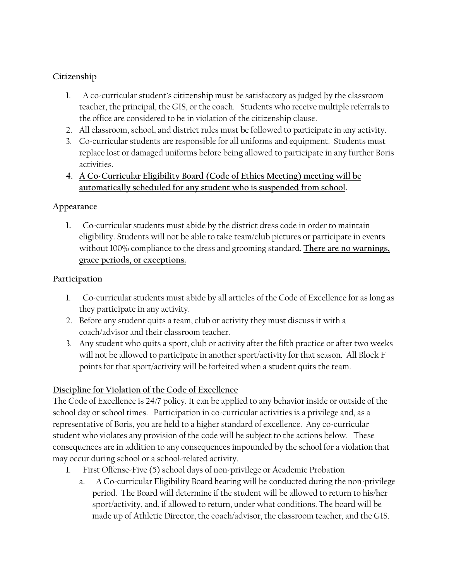#### **Citizenship**

- 1. A co-curricular student's citizenship must be satisfactory as judged by the classroom teacher, the principal, the GIS, or the coach. Students who receive multiple referrals to the office are considered to be in violation of the citizenship clause.
- 2. All classroom, school, and district rules must be followed to participate in any activity.
- 3. Co-curricular students are responsible for all uniforms and equipment. Students must replace lost or damaged uniforms before being allowed to participate in any further Boris activities.
- **4. A Co-Curricular Eligibility Board (Code of Ethics Meeting) meeting will be automatically scheduled for any student who is suspended from school.**

#### **Appearance**

**1.** Co-curricular students must abide by the district dress code in order to maintain eligibility. Students will not be able to take team/club pictures or participate in events without 100% compliance to the dress and grooming standard. **There are no warnings, grace periods, or exceptions.**

#### **Participation**

- 1. Co-curricular students must abide by all articles of the Code of Excellence for as long as they participate in any activity.
- 2. Before any student quits a team, club or activity they must discuss it with a coach/advisor and their classroom teacher.
- 3. Any student who quits a sport, club or activity after the fifth practice or after two weeks will not be allowed to participate in another sport/activity for that season. All Block F points for that sport/activity will be forfeited when a student quits the team.

## **Discipline for Violation of the Code of Excellence**

The Code of Excellence is 24/7 policy. It can be applied to any behavior inside or outside of the school day or school times. Participation in co-curricular activities is a privilege and, as a representative of Boris, you are held to a higher standard of excellence. Any co-curricular student who violates any provision of the code will be subject to the actions below. These consequences are in addition to any consequences impounded by the school for a violation that may occur during school or a school-related activity.

- 1. First Offense-Five (5) school days of non-privilege or Academic Probation
	- a. A Co-curricular Eligibility Board hearing will be conducted during the non-privilege period. The Board will determine if the student will be allowed to return to his/her sport/activity, and, if allowed to return, under what conditions. The board will be made up of Athletic Director, the coach/advisor, the classroom teacher, and the GIS.